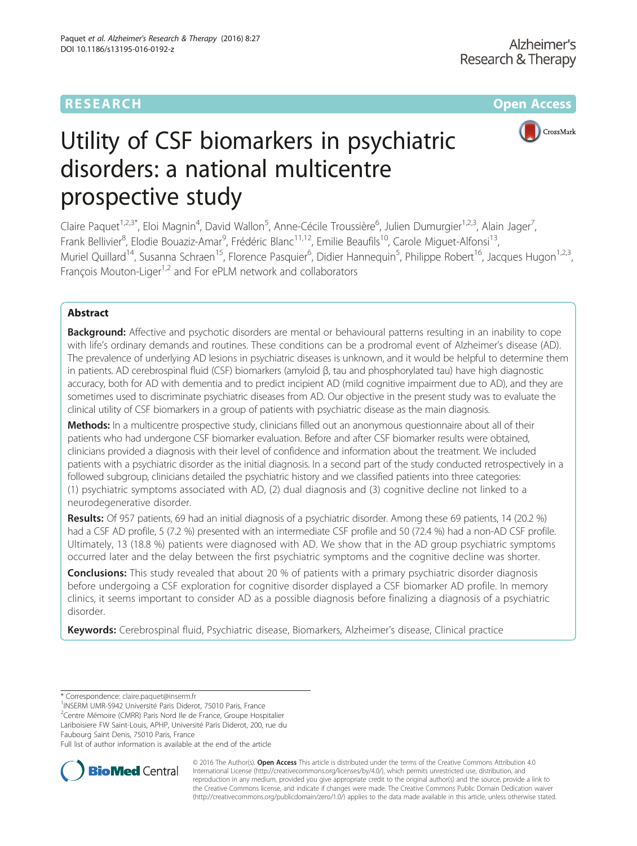# RESEARCH **RESEARCH CONSUMING THE CONSUMING THE CONSUMING THE CONSUMING TEAM Open Access**



# Utility of CSF biomarkers in psychiatric disorders: a national multicentre prospective study

Claire Paquet<sup>1,2,3\*</sup>, Eloi Magnin<sup>4</sup>, David Wallon<sup>5</sup>, Anne-Cécile Troussière<sup>6</sup>, Julien Dumurgier<sup>1,2,3</sup>, Alain Jager<sup>7</sup> , Frank Bellivier<sup>8</sup>, Elodie Bouaziz-Amar<sup>9</sup>, Frédéric Blanc<sup>11,12</sup>, Emilie Beaufils<sup>10</sup>, Carole Miguet-Alfonsi<sup>13</sup>, Muriel Quillard<sup>14</sup>, Susanna Schraen<sup>15</sup>, Florence Pasquier<sup>6</sup>, Didier Hannequin<sup>5</sup>, Philippe Robert<sup>16</sup>, Jacques Hugon<sup>1,2,3</sup>, François Mouton-Liger<sup>1,2</sup> and For ePLM network and collaborators

# Abstract

**Background:** Affective and psychotic disorders are mental or behavioural patterns resulting in an inability to cope with life's ordinary demands and routines. These conditions can be a prodromal event of Alzheimer's disease (AD). The prevalence of underlying AD lesions in psychiatric diseases is unknown, and it would be helpful to determine them in patients. AD cerebrospinal fluid (CSF) biomarkers (amyloid β, tau and phosphorylated tau) have high diagnostic accuracy, both for AD with dementia and to predict incipient AD (mild cognitive impairment due to AD), and they are sometimes used to discriminate psychiatric diseases from AD. Our objective in the present study was to evaluate the clinical utility of CSF biomarkers in a group of patients with psychiatric disease as the main diagnosis.

Methods: In a multicentre prospective study, clinicians filled out an anonymous questionnaire about all of their patients who had undergone CSF biomarker evaluation. Before and after CSF biomarker results were obtained, clinicians provided a diagnosis with their level of confidence and information about the treatment. We included patients with a psychiatric disorder as the initial diagnosis. In a second part of the study conducted retrospectively in a followed subgroup, clinicians detailed the psychiatric history and we classified patients into three categories: (1) psychiatric symptoms associated with AD, (2) dual diagnosis and (3) cognitive decline not linked to a neurodegenerative disorder.

Results: Of 957 patients, 69 had an initial diagnosis of a psychiatric disorder. Among these 69 patients, 14 (20.2 %) had a CSF AD profile, 5 (7.2 %) presented with an intermediate CSF profile and 50 (72.4 %) had a non-AD CSF profile. Ultimately, 13 (18.8 %) patients were diagnosed with AD. We show that in the AD group psychiatric symptoms occurred later and the delay between the first psychiatric symptoms and the cognitive decline was shorter.

**Conclusions:** This study revealed that about 20 % of patients with a primary psychiatric disorder diagnosis before undergoing a CSF exploration for cognitive disorder displayed a CSF biomarker AD profile. In memory clinics, it seems important to consider AD as a possible diagnosis before finalizing a diagnosis of a psychiatric disorder.

Keywords: Cerebrospinal fluid, Psychiatric disease, Biomarkers, Alzheimer's disease, Clinical practice

<sup>1</sup>INSERM UMR-S942 Université Paris Diderot, 75010 Paris, France

<sup>2</sup>Centre Mémoire (CMRR) Paris Nord Ile de France, Groupe Hospitalier

Lariboisiere FW Saint-Louis, APHP, Université Paris Diderot, 200, rue du Faubourg Saint Denis, 75010 Paris, France

Full list of author information is available at the end of the article



© 2016 The Author(s). Open Access This article is distributed under the terms of the Creative Commons Attribution 4.0 International License [\(http://creativecommons.org/licenses/by/4.0/](http://creativecommons.org/licenses/by/4.0/)), which permits unrestricted use, distribution, and reproduction in any medium, provided you give appropriate credit to the original author(s) and the source, provide a link to the Creative Commons license, and indicate if changes were made. The Creative Commons Public Domain Dedication waiver [\(http://creativecommons.org/publicdomain/zero/1.0/](http://creativecommons.org/publicdomain/zero/1.0/)) applies to the data made available in this article, unless otherwise stated.

<sup>\*</sup> Correspondence: [claire.paquet@inserm.fr](mailto:claire.paquet@inserm.fr) <sup>1</sup>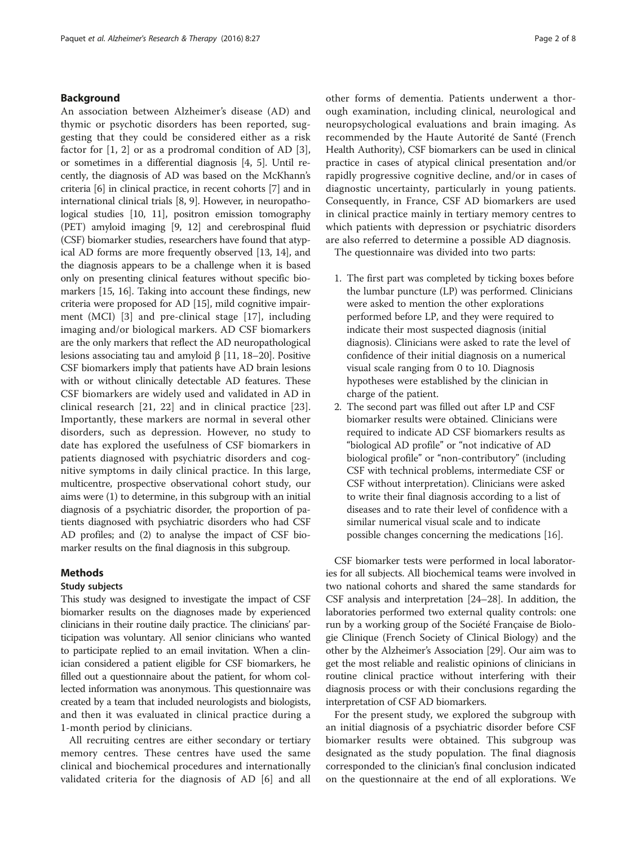# Background

An association between Alzheimer's disease (AD) and thymic or psychotic disorders has been reported, suggesting that they could be considered either as a risk factor for [[1, 2](#page-6-0)] or as a prodromal condition of AD [[3](#page-6-0)], or sometimes in a differential diagnosis [[4, 5\]](#page-6-0). Until recently, the diagnosis of AD was based on the McKhann's criteria [[6\]](#page-6-0) in clinical practice, in recent cohorts [\[7](#page-7-0)] and in international clinical trials [\[8](#page-7-0), [9\]](#page-7-0). However, in neuropathological studies [\[10](#page-7-0), [11](#page-7-0)], positron emission tomography (PET) amyloid imaging [\[9, 12\]](#page-7-0) and cerebrospinal fluid (CSF) biomarker studies, researchers have found that atypical AD forms are more frequently observed [[13](#page-7-0), [14](#page-7-0)], and the diagnosis appears to be a challenge when it is based only on presenting clinical features without specific biomarkers [\[15](#page-7-0), [16](#page-7-0)]. Taking into account these findings, new criteria were proposed for AD [[15](#page-7-0)], mild cognitive impairment (MCI) [\[3](#page-6-0)] and pre-clinical stage [[17](#page-7-0)], including imaging and/or biological markers. AD CSF biomarkers are the only markers that reflect the AD neuropathological lesions associating tau and amyloid β [[11](#page-7-0), [18](#page-7-0)–[20\]](#page-7-0). Positive CSF biomarkers imply that patients have AD brain lesions with or without clinically detectable AD features. These CSF biomarkers are widely used and validated in AD in clinical research [\[21](#page-7-0), [22](#page-7-0)] and in clinical practice [\[23](#page-7-0)]. Importantly, these markers are normal in several other disorders, such as depression. However, no study to date has explored the usefulness of CSF biomarkers in patients diagnosed with psychiatric disorders and cognitive symptoms in daily clinical practice. In this large, multicentre, prospective observational cohort study, our aims were (1) to determine, in this subgroup with an initial diagnosis of a psychiatric disorder, the proportion of patients diagnosed with psychiatric disorders who had CSF AD profiles; and (2) to analyse the impact of CSF biomarker results on the final diagnosis in this subgroup.

## Methods

# Study subjects

This study was designed to investigate the impact of CSF biomarker results on the diagnoses made by experienced clinicians in their routine daily practice. The clinicians' participation was voluntary. All senior clinicians who wanted to participate replied to an email invitation. When a clinician considered a patient eligible for CSF biomarkers, he filled out a questionnaire about the patient, for whom collected information was anonymous. This questionnaire was created by a team that included neurologists and biologists, and then it was evaluated in clinical practice during a 1-month period by clinicians.

All recruiting centres are either secondary or tertiary memory centres. These centres have used the same clinical and biochemical procedures and internationally validated criteria for the diagnosis of AD [\[6](#page-6-0)] and all other forms of dementia. Patients underwent a thorough examination, including clinical, neurological and neuropsychological evaluations and brain imaging. As recommended by the Haute Autorité de Santé (French Health Authority), CSF biomarkers can be used in clinical practice in cases of atypical clinical presentation and/or rapidly progressive cognitive decline, and/or in cases of diagnostic uncertainty, particularly in young patients. Consequently, in France, CSF AD biomarkers are used in clinical practice mainly in tertiary memory centres to which patients with depression or psychiatric disorders are also referred to determine a possible AD diagnosis.

The questionnaire was divided into two parts:

- 1. The first part was completed by ticking boxes before the lumbar puncture (LP) was performed. Clinicians were asked to mention the other explorations performed before LP, and they were required to indicate their most suspected diagnosis (initial diagnosis). Clinicians were asked to rate the level of confidence of their initial diagnosis on a numerical visual scale ranging from 0 to 10. Diagnosis hypotheses were established by the clinician in charge of the patient.
- 2. The second part was filled out after LP and CSF biomarker results were obtained. Clinicians were required to indicate AD CSF biomarkers results as "biological AD profile" or "not indicative of AD biological profile" or "non-contributory" (including CSF with technical problems, intermediate CSF or CSF without interpretation). Clinicians were asked to write their final diagnosis according to a list of diseases and to rate their level of confidence with a similar numerical visual scale and to indicate possible changes concerning the medications [[16](#page-7-0)].

CSF biomarker tests were performed in local laboratories for all subjects. All biochemical teams were involved in two national cohorts and shared the same standards for CSF analysis and interpretation [\[24](#page-7-0)–[28](#page-7-0)]. In addition, the laboratories performed two external quality controls: one run by a working group of the Société Française de Biologie Clinique (French Society of Clinical Biology) and the other by the Alzheimer's Association [\[29\]](#page-7-0). Our aim was to get the most reliable and realistic opinions of clinicians in routine clinical practice without interfering with their diagnosis process or with their conclusions regarding the interpretation of CSF AD biomarkers.

For the present study, we explored the subgroup with an initial diagnosis of a psychiatric disorder before CSF biomarker results were obtained. This subgroup was designated as the study population. The final diagnosis corresponded to the clinician's final conclusion indicated on the questionnaire at the end of all explorations. We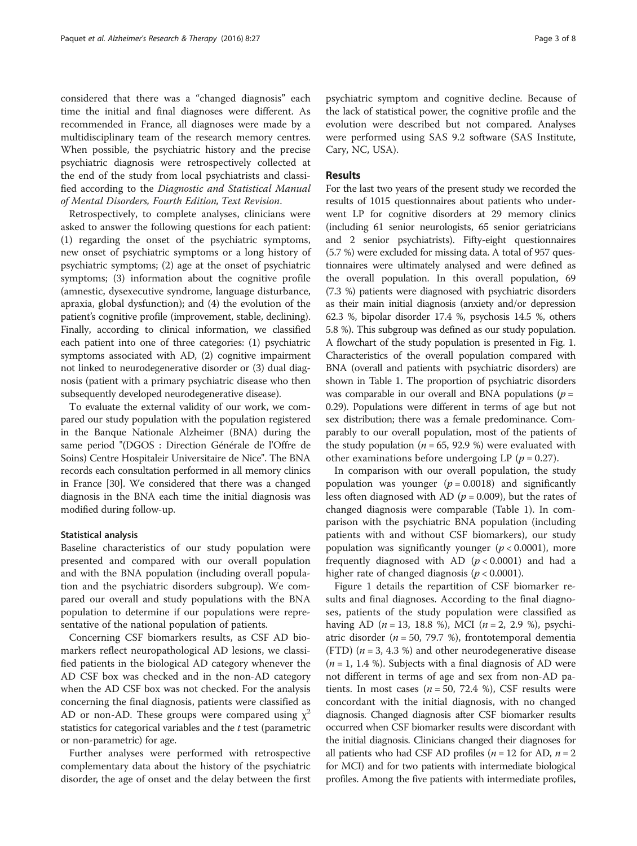considered that there was a "changed diagnosis" each time the initial and final diagnoses were different. As recommended in France, all diagnoses were made by a multidisciplinary team of the research memory centres. When possible, the psychiatric history and the precise psychiatric diagnosis were retrospectively collected at the end of the study from local psychiatrists and classified according to the Diagnostic and Statistical Manual of Mental Disorders, Fourth Edition, Text Revision.

Retrospectively, to complete analyses, clinicians were asked to answer the following questions for each patient: (1) regarding the onset of the psychiatric symptoms, new onset of psychiatric symptoms or a long history of psychiatric symptoms; (2) age at the onset of psychiatric symptoms; (3) information about the cognitive profile (amnestic, dysexecutive syndrome, language disturbance, apraxia, global dysfunction); and (4) the evolution of the patient's cognitive profile (improvement, stable, declining). Finally, according to clinical information, we classified each patient into one of three categories: (1) psychiatric symptoms associated with AD, (2) cognitive impairment not linked to neurodegenerative disorder or (3) dual diagnosis (patient with a primary psychiatric disease who then subsequently developed neurodegenerative disease).

To evaluate the external validity of our work, we compared our study population with the population registered in the Banque Nationale Alzheimer (BNA) during the same period "(DGOS : Direction Générale de l'Offre de Soins) Centre Hospitaleir Universitaire de Nice". The BNA records each consultation performed in all memory clinics in France [\[30\]](#page-7-0). We considered that there was a changed diagnosis in the BNA each time the initial diagnosis was modified during follow-up.

#### Statistical analysis

Baseline characteristics of our study population were presented and compared with our overall population and with the BNA population (including overall population and the psychiatric disorders subgroup). We compared our overall and study populations with the BNA population to determine if our populations were representative of the national population of patients.

Concerning CSF biomarkers results, as CSF AD biomarkers reflect neuropathological AD lesions, we classified patients in the biological AD category whenever the AD CSF box was checked and in the non-AD category when the AD CSF box was not checked. For the analysis concerning the final diagnosis, patients were classified as AD or non-AD. These groups were compared using  $\chi^2$ statistics for categorical variables and the  $t$  test (parametric or non-parametric) for age.

Further analyses were performed with retrospective complementary data about the history of the psychiatric disorder, the age of onset and the delay between the first psychiatric symptom and cognitive decline. Because of the lack of statistical power, the cognitive profile and the evolution were described but not compared. Analyses were performed using SAS 9.2 software (SAS Institute, Cary, NC, USA).

## Results

For the last two years of the present study we recorded the results of 1015 questionnaires about patients who underwent LP for cognitive disorders at 29 memory clinics (including 61 senior neurologists, 65 senior geriatricians and 2 senior psychiatrists). Fifty-eight questionnaires (5.7 %) were excluded for missing data. A total of 957 questionnaires were ultimately analysed and were defined as the overall population. In this overall population, 69 (7.3 %) patients were diagnosed with psychiatric disorders as their main initial diagnosis (anxiety and/or depression 62.3 %, bipolar disorder 17.4 %, psychosis 14.5 %, others 5.8 %). This subgroup was defined as our study population. A flowchart of the study population is presented in Fig. [1](#page-3-0). Characteristics of the overall population compared with BNA (overall and patients with psychiatric disorders) are shown in Table [1.](#page-3-0) The proportion of psychiatric disorders was comparable in our overall and BNA populations ( $p =$ 0.29). Populations were different in terms of age but not sex distribution; there was a female predominance. Comparably to our overall population, most of the patients of the study population ( $n = 65$ , 92.9 %) were evaluated with other examinations before undergoing LP ( $p = 0.27$ ).

In comparison with our overall population, the study population was younger  $(p = 0.0018)$  and significantly less often diagnosed with AD ( $p = 0.009$ ), but the rates of changed diagnosis were comparable (Table [1\)](#page-3-0). In comparison with the psychiatric BNA population (including patients with and without CSF biomarkers), our study population was significantly younger  $(p < 0.0001)$ , more frequently diagnosed with AD  $(p < 0.0001)$  and had a higher rate of changed diagnosis ( $p < 0.0001$ ).

Figure [1](#page-3-0) details the repartition of CSF biomarker results and final diagnoses. According to the final diagnoses, patients of the study population were classified as having AD ( $n = 13$ , 18.8 %), MCI ( $n = 2$ , 2.9 %), psychiatric disorder ( $n = 50, 79.7$  %), frontotemporal dementia (FTD)  $(n = 3, 4.3 \%)$  and other neurodegenerative disease  $(n = 1, 1.4 \%)$ . Subjects with a final diagnosis of AD were not different in terms of age and sex from non-AD patients. In most cases ( $n = 50$ , 72.4 %), CSF results were concordant with the initial diagnosis, with no changed diagnosis. Changed diagnosis after CSF biomarker results occurred when CSF biomarker results were discordant with the initial diagnosis. Clinicians changed their diagnoses for all patients who had CSF AD profiles ( $n = 12$  for AD,  $n = 2$ for MCI) and for two patients with intermediate biological profiles. Among the five patients with intermediate profiles,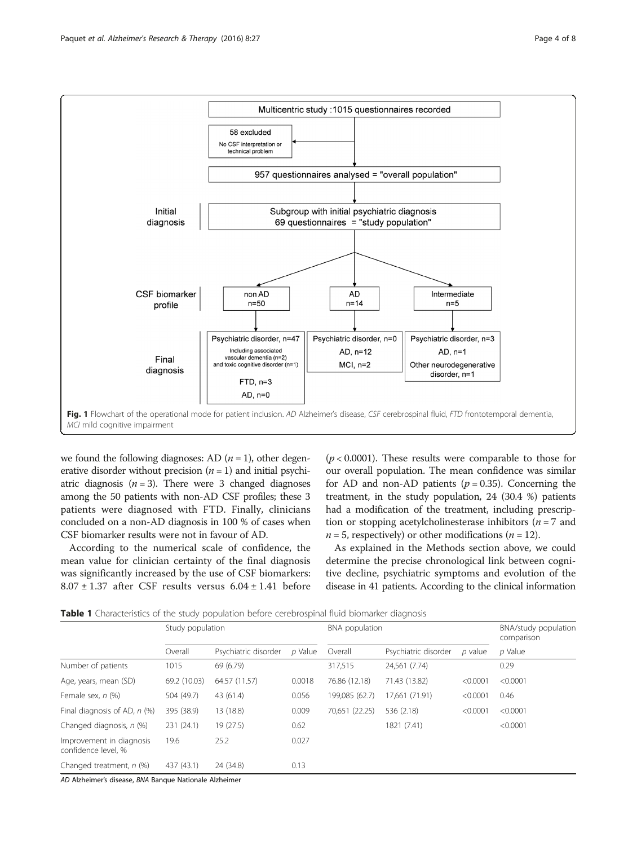<span id="page-3-0"></span>

we found the following diagnoses: AD  $(n = 1)$ , other degenerative disorder without precision  $(n = 1)$  and initial psychiatric diagnosis  $(n = 3)$ . There were 3 changed diagnoses among the 50 patients with non-AD CSF profiles; these 3 patients were diagnosed with FTD. Finally, clinicians concluded on a non-AD diagnosis in 100 % of cases when CSF biomarker results were not in favour of AD.

According to the numerical scale of confidence, the mean value for clinician certainty of the final diagnosis was significantly increased by the use of CSF biomarkers:  $8.07 \pm 1.37$  after CSF results versus  $6.04 \pm 1.41$  before

 $(p < 0.0001)$ . These results were comparable to those for our overall population. The mean confidence was similar for AD and non-AD patients ( $p = 0.35$ ). Concerning the treatment, in the study population, 24 (30.4 %) patients had a modification of the treatment, including prescription or stopping acetylcholinesterase inhibitors ( $n = 7$  and  $n = 5$ , respectively) or other modifications ( $n = 12$ ).

As explained in the Methods section above, we could determine the precise chronological link between cognitive decline, psychiatric symptoms and evolution of the disease in 41 patients. According to the clinical information

**Table 1** Characteristics of the study population before cerebrospinal fluid biomarker diagnosis

|                                                 | Study population |                      |           | <b>BNA</b> population |                      |           | BNA/study population<br>comparison |
|-------------------------------------------------|------------------|----------------------|-----------|-----------------------|----------------------|-----------|------------------------------------|
|                                                 | Overall          | Psychiatric disorder | $p$ Value | Overall               | Psychiatric disorder | $p$ value | $p$ Value                          |
| Number of patients                              | 1015             | 69 (6.79)            |           | 317,515               | 24,561 (7.74)        |           | 0.29                               |
| Age, years, mean (SD)                           | 69.2 (10.03)     | 64.57 (11.57)        | 0.0018    | 76.86 (12.18)         | 71.43 (13.82)        | < 0.0001  | < 0.0001                           |
| Female sex, n (%)                               | 504 (49.7)       | 43 (61.4)            | 0.056     | 199,085 (62.7)        | 17,661 (71.91)       | < 0.0001  | 0.46                               |
| Final diagnosis of AD, n (%)                    | 395 (38.9)       | 13 (18.8)            | 0.009     | 70,651 (22.25)        | 536 (2.18)           | < 0.0001  | < 0.0001                           |
| Changed diagnosis, n (%)                        | 231 (24.1)       | 19 (27.5)            | 0.62      |                       | 1821 (7.41)          |           | < 0.0001                           |
| Improvement in diagnosis<br>confidence level, % | 19.6             | 25.2                 | 0.027     |                       |                      |           |                                    |
| Changed treatment, n (%)                        | 437 (43.1)       | 24 (34.8)            | 0.13      |                       |                      |           |                                    |

AD Alzheimer's disease, BNA Banque Nationale Alzheimer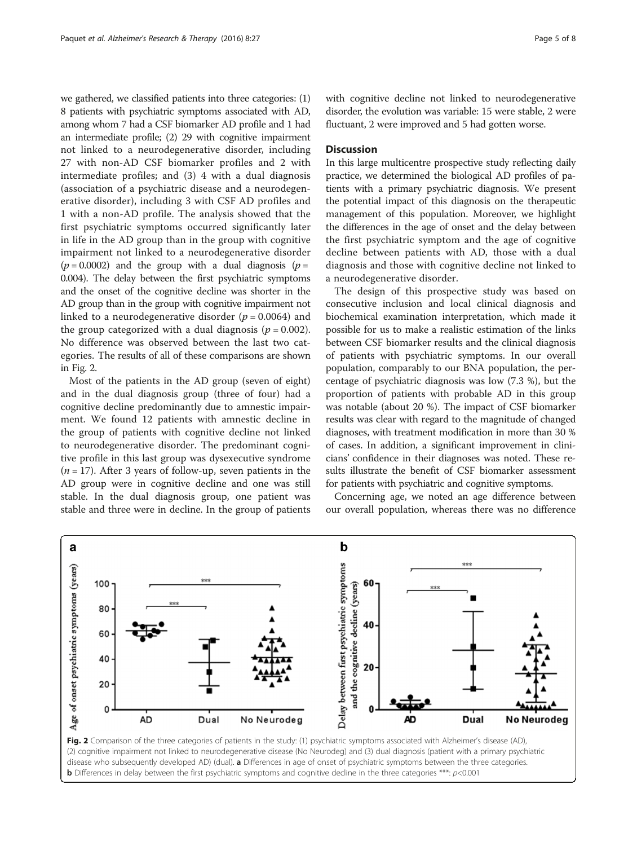<span id="page-4-0"></span>we gathered, we classified patients into three categories: (1) 8 patients with psychiatric symptoms associated with AD, among whom 7 had a CSF biomarker AD profile and 1 had an intermediate profile; (2) 29 with cognitive impairment not linked to a neurodegenerative disorder, including 27 with non-AD CSF biomarker profiles and 2 with intermediate profiles; and (3) 4 with a dual diagnosis (association of a psychiatric disease and a neurodegenerative disorder), including 3 with CSF AD profiles and 1 with a non-AD profile. The analysis showed that the first psychiatric symptoms occurred significantly later in life in the AD group than in the group with cognitive impairment not linked to a neurodegenerative disorder  $(p = 0.0002)$  and the group with a dual diagnosis  $(p = 0.0002)$ 0.004). The delay between the first psychiatric symptoms and the onset of the cognitive decline was shorter in the AD group than in the group with cognitive impairment not linked to a neurodegenerative disorder ( $p = 0.0064$ ) and the group categorized with a dual diagnosis ( $p = 0.002$ ). No difference was observed between the last two categories. The results of all of these comparisons are shown in Fig. 2.

Most of the patients in the AD group (seven of eight) and in the dual diagnosis group (three of four) had a cognitive decline predominantly due to amnestic impairment. We found 12 patients with amnestic decline in the group of patients with cognitive decline not linked to neurodegenerative disorder. The predominant cognitive profile in this last group was dysexecutive syndrome  $(n = 17)$ . After 3 years of follow-up, seven patients in the AD group were in cognitive decline and one was still stable. In the dual diagnosis group, one patient was stable and three were in decline. In the group of patients with cognitive decline not linked to neurodegenerative disorder, the evolution was variable: 15 were stable, 2 were fluctuant, 2 were improved and 5 had gotten worse.

## **Discussion**

In this large multicentre prospective study reflecting daily practice, we determined the biological AD profiles of patients with a primary psychiatric diagnosis. We present the potential impact of this diagnosis on the therapeutic management of this population. Moreover, we highlight the differences in the age of onset and the delay between the first psychiatric symptom and the age of cognitive decline between patients with AD, those with a dual diagnosis and those with cognitive decline not linked to a neurodegenerative disorder.

The design of this prospective study was based on consecutive inclusion and local clinical diagnosis and biochemical examination interpretation, which made it possible for us to make a realistic estimation of the links between CSF biomarker results and the clinical diagnosis of patients with psychiatric symptoms. In our overall population, comparably to our BNA population, the percentage of psychiatric diagnosis was low (7.3 %), but the proportion of patients with probable AD in this group was notable (about 20 %). The impact of CSF biomarker results was clear with regard to the magnitude of changed diagnoses, with treatment modification in more than 30 % of cases. In addition, a significant improvement in clinicians' confidence in their diagnoses was noted. These results illustrate the benefit of CSF biomarker assessment for patients with psychiatric and cognitive symptoms.

Concerning age, we noted an age difference between our overall population, whereas there was no difference

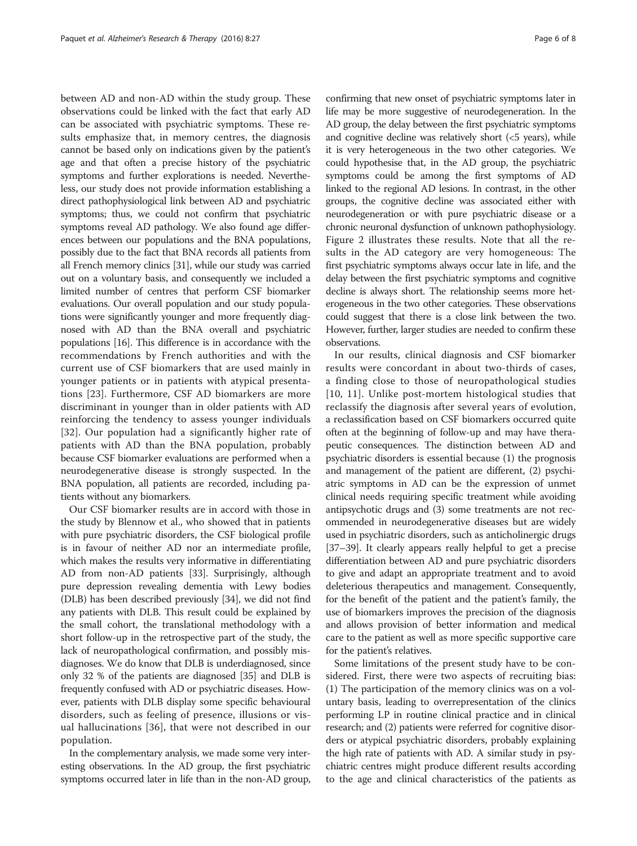between AD and non-AD within the study group. These observations could be linked with the fact that early AD can be associated with psychiatric symptoms. These results emphasize that, in memory centres, the diagnosis cannot be based only on indications given by the patient's age and that often a precise history of the psychiatric symptoms and further explorations is needed. Nevertheless, our study does not provide information establishing a direct pathophysiological link between AD and psychiatric symptoms; thus, we could not confirm that psychiatric symptoms reveal AD pathology. We also found age differences between our populations and the BNA populations, possibly due to the fact that BNA records all patients from all French memory clinics [[31](#page-7-0)], while our study was carried out on a voluntary basis, and consequently we included a limited number of centres that perform CSF biomarker evaluations. Our overall population and our study populations were significantly younger and more frequently diagnosed with AD than the BNA overall and psychiatric populations [\[16\]](#page-7-0). This difference is in accordance with the recommendations by French authorities and with the current use of CSF biomarkers that are used mainly in younger patients or in patients with atypical presentations [\[23](#page-7-0)]. Furthermore, CSF AD biomarkers are more discriminant in younger than in older patients with AD reinforcing the tendency to assess younger individuals [[32\]](#page-7-0). Our population had a significantly higher rate of patients with AD than the BNA population, probably because CSF biomarker evaluations are performed when a neurodegenerative disease is strongly suspected. In the BNA population, all patients are recorded, including patients without any biomarkers.

Our CSF biomarker results are in accord with those in the study by Blennow et al., who showed that in patients with pure psychiatric disorders, the CSF biological profile is in favour of neither AD nor an intermediate profile, which makes the results very informative in differentiating AD from non-AD patients [[33](#page-7-0)]. Surprisingly, although pure depression revealing dementia with Lewy bodies (DLB) has been described previously [\[34](#page-7-0)], we did not find any patients with DLB. This result could be explained by the small cohort, the translational methodology with a short follow-up in the retrospective part of the study, the lack of neuropathological confirmation, and possibly misdiagnoses. We do know that DLB is underdiagnosed, since only 32 % of the patients are diagnosed [\[35\]](#page-7-0) and DLB is frequently confused with AD or psychiatric diseases. However, patients with DLB display some specific behavioural disorders, such as feeling of presence, illusions or visual hallucinations [\[36\]](#page-7-0), that were not described in our population.

In the complementary analysis, we made some very interesting observations. In the AD group, the first psychiatric symptoms occurred later in life than in the non-AD group,

confirming that new onset of psychiatric symptoms later in life may be more suggestive of neurodegeneration. In the AD group, the delay between the first psychiatric symptoms and cognitive decline was relatively short  $(<5$  years), while it is very heterogeneous in the two other categories. We could hypothesise that, in the AD group, the psychiatric symptoms could be among the first symptoms of AD linked to the regional AD lesions. In contrast, in the other groups, the cognitive decline was associated either with neurodegeneration or with pure psychiatric disease or a chronic neuronal dysfunction of unknown pathophysiology. Figure [2](#page-4-0) illustrates these results. Note that all the results in the AD category are very homogeneous: The first psychiatric symptoms always occur late in life, and the delay between the first psychiatric symptoms and cognitive decline is always short. The relationship seems more heterogeneous in the two other categories. These observations could suggest that there is a close link between the two. However, further, larger studies are needed to confirm these observations.

In our results, clinical diagnosis and CSF biomarker results were concordant in about two-thirds of cases, a finding close to those of neuropathological studies [[10](#page-7-0), [11\]](#page-7-0). Unlike post-mortem histological studies that reclassify the diagnosis after several years of evolution, a reclassification based on CSF biomarkers occurred quite often at the beginning of follow-up and may have therapeutic consequences. The distinction between AD and psychiatric disorders is essential because (1) the prognosis and management of the patient are different, (2) psychiatric symptoms in AD can be the expression of unmet clinical needs requiring specific treatment while avoiding antipsychotic drugs and (3) some treatments are not recommended in neurodegenerative diseases but are widely used in psychiatric disorders, such as anticholinergic drugs [[37](#page-7-0)–[39\]](#page-7-0). It clearly appears really helpful to get a precise differentiation between AD and pure psychiatric disorders to give and adapt an appropriate treatment and to avoid deleterious therapeutics and management. Consequently, for the benefit of the patient and the patient's family, the use of biomarkers improves the precision of the diagnosis and allows provision of better information and medical care to the patient as well as more specific supportive care for the patient's relatives.

Some limitations of the present study have to be considered. First, there were two aspects of recruiting bias: (1) The participation of the memory clinics was on a voluntary basis, leading to overrepresentation of the clinics performing LP in routine clinical practice and in clinical research; and (2) patients were referred for cognitive disorders or atypical psychiatric disorders, probably explaining the high rate of patients with AD. A similar study in psychiatric centres might produce different results according to the age and clinical characteristics of the patients as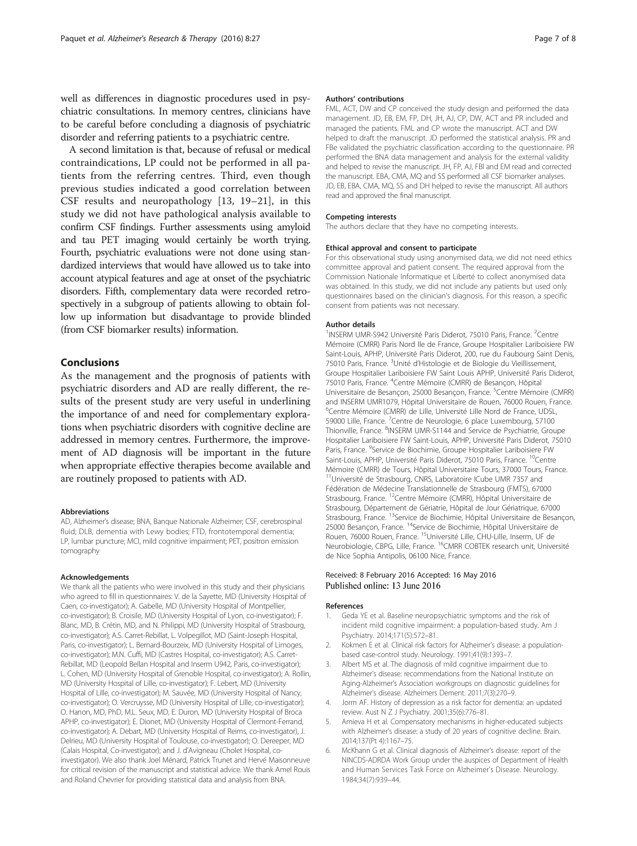<span id="page-6-0"></span>well as differences in diagnostic procedures used in psychiatric consultations. In memory centres, clinicians have to be careful before concluding a diagnosis of psychiatric disorder and referring patients to a psychiatric centre.

A second limitation is that, because of refusal or medical contraindications, LP could not be performed in all patients from the referring centres. Third, even though previous studies indicated a good correlation between CSF results and neuropathology [[13, 19](#page-7-0)–[21\]](#page-7-0), in this study we did not have pathological analysis available to confirm CSF findings. Further assessments using amyloid and tau PET imaging would certainly be worth trying. Fourth, psychiatric evaluations were not done using standardized interviews that would have allowed us to take into account atypical features and age at onset of the psychiatric disorders. Fifth, complementary data were recorded retrospectively in a subgroup of patients allowing to obtain follow up information but disadvantage to provide blinded (from CSF biomarker results) information.

## Conclusions

As the management and the prognosis of patients with psychiatric disorders and AD are really different, the results of the present study are very useful in underlining the importance of and need for complementary explorations when psychiatric disorders with cognitive decline are addressed in memory centres. Furthermore, the improvement of AD diagnosis will be important in the future when appropriate effective therapies become available and are routinely proposed to patients with AD.

#### Abbreviations

AD, Alzheimer's disease; BNA, Banque Nationale Alzheimer; CSF, cerebrospinal fluid; DLB, dementia with Lewy bodies; FTD, frontotemporal dementia; LP, lumbar puncture; MCI, mild cognitive impairment; PET, positron emission tomography

#### Acknowledgements

We thank all the patients who were involved in this study and their physicians who agreed to fill in questionnaires: V. de la Sayette, MD (University Hospital of Caen, co-investigator); A. Gabelle, MD (University Hospital of Montpellier, co-investigator); B. Croisile, MD (University Hospital of Lyon, co-investigator); F. Blanc, MD, B. Crétin, MD, and N. Philippi, MD (University Hospital of Strasbourg, co-investigator); A.S. Carret-Rebillat, L. Volpegillot, MD (Saint-Joseph Hospital, Paris, co-investigator); L. Bernard-Bourzeix, MD (University Hospital of Limoges, co-investigator); M.N. Cuffi, MD (Castres Hospital, co-investigator); A.S. Carret-Rebillat, MD (Leopold Bellan Hospital and Inserm U942, Paris, co-investigator); L. Cohen, MD (University Hospital of Grenoble Hospital, co-investigator); A. Rollin, MD (University Hospital of Lille, co-investigator); F. Lebert, MD (University Hospital of Lille, co-investigator); M. Sauvée, MD (University Hospital of Nancy, co-investigator); O. Vercruysse, MD (University Hospital of Lille, co-investigator); O. Hanon, MD, PhD, M.L. Seux, MD, E. Duron, MD (University Hospital of Broca APHP, co-investigator); E. Dionet, MD (University Hospital of Clermont-Ferrand, co-investigator); A. Debart, MD (University Hospital of Reims, co-investigator), J. Delrieu, MD (University Hospital of Toulouse, co-investigator); O. Dereeper, MD (Calais Hospital, Co-investigator); and J. d'Avigneau (Cholet Hospital, coinvestigator). We also thank Joel Ménard, Patrick Trunet and Hervé Maisonneuve for critical revision of the manuscript and statistical advice. We thank Amel Rouis and Roland Chevrier for providing statistical data and analysis from BNA.

#### Authors' contributions

FML, ACT, DW and CP conceived the study design and performed the data management. JD, EB, EM, FP, DH, JH, AJ, CP, DW, ACT and PR included and managed the patients. FML and CP wrote the manuscript. ACT and DW helped to draft the manuscript. JD performed the statistical analysis. PR and FBe validated the psychiatric classification according to the questionnaire. PR performed the BNA data management and analysis for the external validity and helped to revise the manuscript. JH, FP, AJ, FBl and EM read and corrected the manuscript. EBA, CMA, MQ and SS performed all CSF biomarker analyses. JD, EB, EBA, CMA, MQ, SS and DH helped to revise the manuscript. All authors read and approved the final manuscript.

#### Competing interests

The authors declare that they have no competing interests.

#### Ethical approval and consent to participate

For this observational study using anonymised data, we did not need ethics committee approval and patient consent. The required approval from the Commission Nationale Informatique et Liberté to collect anonymised data was obtained. In this study, we did not include any patients but used only questionnaires based on the clinician's diagnosis. For this reason, a specific consent from patients was not necessary.

#### Author details

<sup>1</sup>INSERM UMR-S942 Université Paris Diderot, 75010 Paris, France. <sup>2</sup>Centre Mémoire (CMRR) Paris Nord Ile de France, Groupe Hospitalier Lariboisiere FW Saint-Louis, APHP, Université Paris Diderot, 200, rue du Faubourg Saint Denis, 75010 Paris, France. <sup>3</sup>Unité d'Histologie et de Biologie du Vieillissement, Groupe Hospitalier Lariboisiere FW Saint Louis APHP, Université Paris Diderot, 75010 Paris, France. <sup>4</sup>Centre Mémoire (CMRR) de Besançon, Hôpital Universitaire de Besançon, 25000 Besançon, France. <sup>5</sup>Centre Mémoire (CMRR) and INSERM UMR1079, Hôpital Universitaire de Rouen, 76000 Rouen, France. 6 Centre Mémoire (CMRR) de Lille, Université Lille Nord de France, UDSL, 59000 Lille, France. <sup>7</sup>Centre de Neurologie, 6 place Luxembourg, 57100 Thionville, France. <sup>8</sup>INSERM UMR-S1144 and Service de Psychiatrie, Groupe Hospitalier Lariboisiere FW Saint-Louis, APHP, Université Paris Diderot, 75010 Paris, France. <sup>9</sup>Service de Biochimie, Groupe Hospitalier Lariboisiere FW Saint-Louis, APHP, Université Paris Diderot, 75010 Paris, France. <sup>10</sup>Centre Mémoire (CMRR) de Tours, Hôpital Universitaire Tours, 37000 Tours, France. <sup>11</sup>Université de Strasbourg, CNRS, Laboratoire ICube UMR 7357 and Fédération de Médecine Translationnelle de Strasbourg (FMTS), 67000 Strasbourg, France. 12Centre Mémoire (CMRR), Hôpital Universitaire de Strasbourg, Département de Gériatrie, Hôpital de Jour Gériatrique, 67000 Strasbourg, France. 13Service de Biochimie, Hôpital Universitaire de Besançon, 25000 Besançon, France. 14Service de Biochimie, Hôpital Universitaire de Rouen, 76000 Rouen, France. <sup>15</sup>Université Lille, CHU-Lille, Inserm, UF de Neurobiologie, CBPG, Lille, France. <sup>16</sup>CMRR COBTEK research unit, Université de Nice Sophia Antipolis, 06100 Nice, France.

#### Received: 8 February 2016 Accepted: 16 May 2016 Published online: 13 June 2016

#### References

- 1. Geda YE et al. Baseline neuropsychiatric symptoms and the risk of incident mild cognitive impairment: a population-based study. Am J Psychiatry. 2014;171(5):572–81.
- 2. Kokmen E et al. Clinical risk factors for Alzheimer's disease: a populationbased case-control study. Neurology. 1991;41(9):1393–7.
- 3. Albert MS et al. The diagnosis of mild cognitive impairment due to Alzheimer's disease: recommendations from the National Institute on Aging-Alzheimer's Association workgroups on diagnostic guidelines for Alzheimer's disease. Alzheimers Dement. 2011;7(3):270–9.
- 4. Jorm AF. History of depression as a risk factor for dementia: an updated review. Aust N Z J Psychiatry. 2001;35(6):776–81.
- 5. Amieva H et al. Compensatory mechanisms in higher-educated subjects with Alzheimer's disease: a study of 20 years of cognitive decline. Brain. 2014;137(Pt 4):1167–75.
- 6. McKhann G et al. Clinical diagnosis of Alzheimer's disease: report of the NINCDS-ADRDA Work Group under the auspices of Department of Health and Human Services Task Force on Alzheimer's Disease. Neurology. 1984;34(7):939–44.